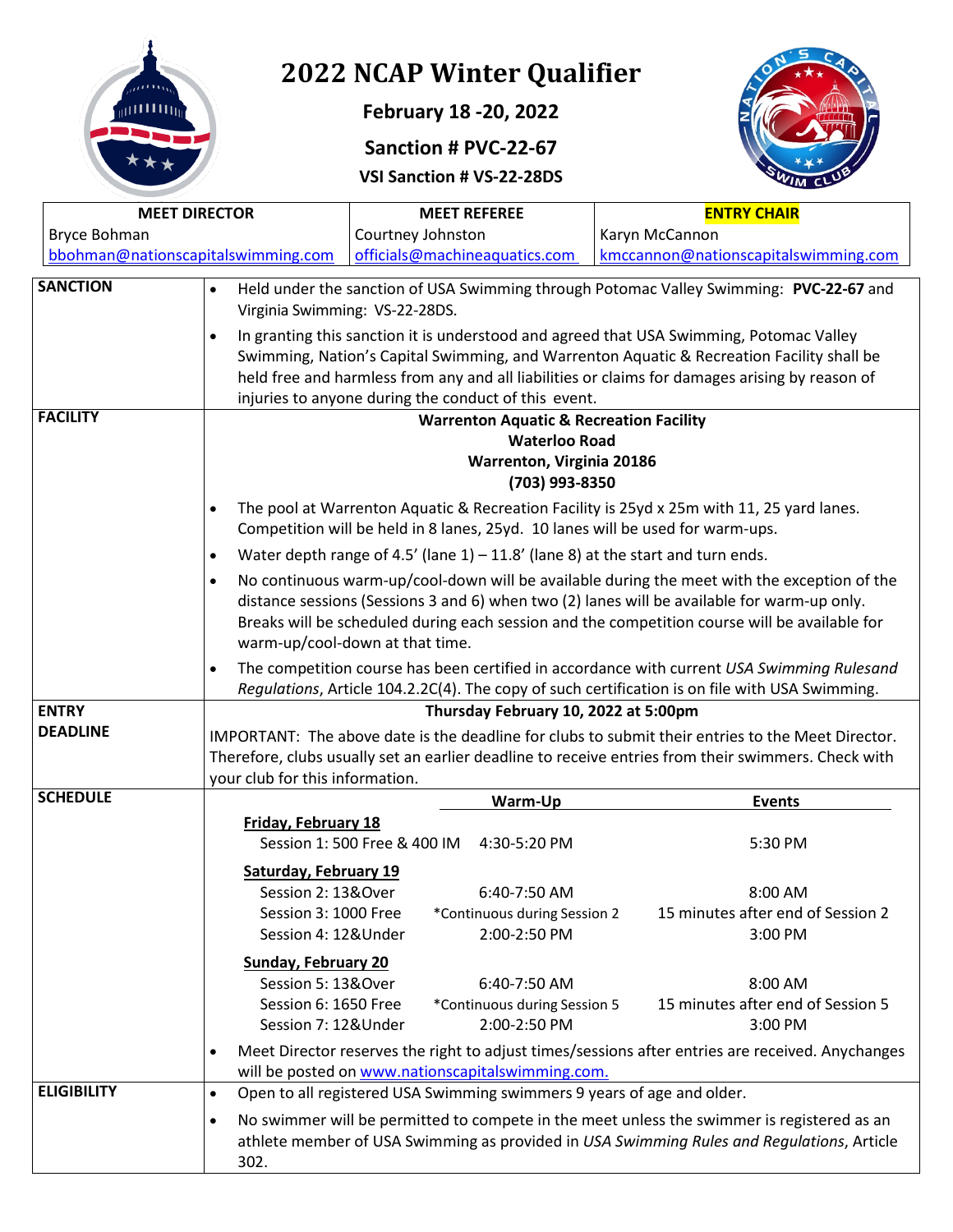

**February 18 -20, 2022**

**Sanction # PVC-22-67**

**VSI Sanction # VS-22-28DS**



| <b>MEET DIRECTOR</b>               |                                                                                                                                                                                                                                                                                                                                             | <b>MEET REFEREE</b>                                                                                                                                                                                                                                                                                              |                                                                     | <b>ENTRY CHAIR</b>                                                                                                                                                                      |
|------------------------------------|---------------------------------------------------------------------------------------------------------------------------------------------------------------------------------------------------------------------------------------------------------------------------------------------------------------------------------------------|------------------------------------------------------------------------------------------------------------------------------------------------------------------------------------------------------------------------------------------------------------------------------------------------------------------|---------------------------------------------------------------------|-----------------------------------------------------------------------------------------------------------------------------------------------------------------------------------------|
| Bryce Bohman                       |                                                                                                                                                                                                                                                                                                                                             | Courtney Johnston                                                                                                                                                                                                                                                                                                |                                                                     | Karyn McCannon                                                                                                                                                                          |
| bbohman@nationscapitalswimming.com |                                                                                                                                                                                                                                                                                                                                             | officials@machineaquatics.com                                                                                                                                                                                                                                                                                    |                                                                     | kmccannon@nationscapitalswimming.com                                                                                                                                                    |
| <b>SANCTION</b>                    | $\bullet$<br>$\bullet$                                                                                                                                                                                                                                                                                                                      | Held under the sanction of USA Swimming through Potomac Valley Swimming: PVC-22-67 and<br>Virginia Swimming: VS-22-28DS.<br>In granting this sanction it is understood and agreed that USA Swimming, Potomac Valley<br>Swimming, Nation's Capital Swimming, and Warrenton Aquatic & Recreation Facility shall be |                                                                     |                                                                                                                                                                                         |
|                                    | held free and harmless from any and all liabilities or claims for damages arising by reason of<br>injuries to anyone during the conduct of this event.                                                                                                                                                                                      |                                                                                                                                                                                                                                                                                                                  |                                                                     |                                                                                                                                                                                         |
| <b>FACILITY</b>                    |                                                                                                                                                                                                                                                                                                                                             |                                                                                                                                                                                                                                                                                                                  |                                                                     | <b>Warrenton Aquatic &amp; Recreation Facility</b>                                                                                                                                      |
|                                    |                                                                                                                                                                                                                                                                                                                                             |                                                                                                                                                                                                                                                                                                                  | <b>Waterloo Road</b><br>Warrenton, Virginia 20186<br>(703) 993-8350 |                                                                                                                                                                                         |
|                                    | $\bullet$                                                                                                                                                                                                                                                                                                                                   |                                                                                                                                                                                                                                                                                                                  |                                                                     | The pool at Warrenton Aquatic & Recreation Facility is 25yd x 25m with 11, 25 yard lanes.<br>Competition will be held in 8 lanes, 25yd. 10 lanes will be used for warm-ups.             |
|                                    | $\bullet$                                                                                                                                                                                                                                                                                                                                   |                                                                                                                                                                                                                                                                                                                  |                                                                     | Water depth range of 4.5' (lane $1$ ) – 11.8' (lane 8) at the start and turn ends.                                                                                                      |
|                                    | No continuous warm-up/cool-down will be available during the meet with the exception of the<br>$\bullet$<br>distance sessions (Sessions 3 and 6) when two (2) lanes will be available for warm-up only.<br>Breaks will be scheduled during each session and the competition course will be available for<br>warm-up/cool-down at that time. |                                                                                                                                                                                                                                                                                                                  |                                                                     |                                                                                                                                                                                         |
|                                    | The competition course has been certified in accordance with current USA Swimming Rulesand<br>$\bullet$<br>Regulations, Article 104.2.2C(4). The copy of such certification is on file with USA Swimming.                                                                                                                                   |                                                                                                                                                                                                                                                                                                                  |                                                                     |                                                                                                                                                                                         |
| <b>ENTRY</b>                       | Thursday February 10, 2022 at 5:00pm                                                                                                                                                                                                                                                                                                        |                                                                                                                                                                                                                                                                                                                  |                                                                     |                                                                                                                                                                                         |
| <b>DEADLINE</b>                    | IMPORTANT: The above date is the deadline for clubs to submit their entries to the Meet Director.<br>Therefore, clubs usually set an earlier deadline to receive entries from their swimmers. Check with<br>your club for this information.                                                                                                 |                                                                                                                                                                                                                                                                                                                  |                                                                     |                                                                                                                                                                                         |
| <b>SCHEDULE</b>                    |                                                                                                                                                                                                                                                                                                                                             |                                                                                                                                                                                                                                                                                                                  | Warm-Up                                                             | <b>Events</b>                                                                                                                                                                           |
|                                    | <b>Friday, February 18</b>                                                                                                                                                                                                                                                                                                                  | Session 1:500 Free & 400 IM                                                                                                                                                                                                                                                                                      | 4:30-5:20 PM                                                        | 5:30 PM                                                                                                                                                                                 |
|                                    | <b>Saturday, February 19</b><br>Session 2: 13&Over<br>Session 3: 1000 Free<br>Session 4: 12&Under                                                                                                                                                                                                                                           |                                                                                                                                                                                                                                                                                                                  | 6:40-7:50 AM<br>*Continuous during Session 2<br>2:00-2:50 PM        | 8:00 AM<br>15 minutes after end of Session 2<br>3:00 PM                                                                                                                                 |
|                                    | <b>Sunday, February 20</b><br>Session 5: 13&Over<br>Session 6: 1650 Free<br>Session 7: 12&Under                                                                                                                                                                                                                                             |                                                                                                                                                                                                                                                                                                                  | 6:40-7:50 AM<br>*Continuous during Session 5<br>2:00-2:50 PM        | 8:00 AM<br>15 minutes after end of Session 5<br>3:00 PM                                                                                                                                 |
|                                    | $\bullet$                                                                                                                                                                                                                                                                                                                                   | will be posted on www.nationscapitalswimming.com.                                                                                                                                                                                                                                                                |                                                                     | Meet Director reserves the right to adjust times/sessions after entries are received. Anychanges                                                                                        |
| <b>ELIGIBILITY</b>                 | $\bullet$                                                                                                                                                                                                                                                                                                                                   |                                                                                                                                                                                                                                                                                                                  |                                                                     | Open to all registered USA Swimming swimmers 9 years of age and older.                                                                                                                  |
|                                    | $\bullet$<br>302.                                                                                                                                                                                                                                                                                                                           |                                                                                                                                                                                                                                                                                                                  |                                                                     | No swimmer will be permitted to compete in the meet unless the swimmer is registered as an<br>athlete member of USA Swimming as provided in USA Swimming Rules and Regulations, Article |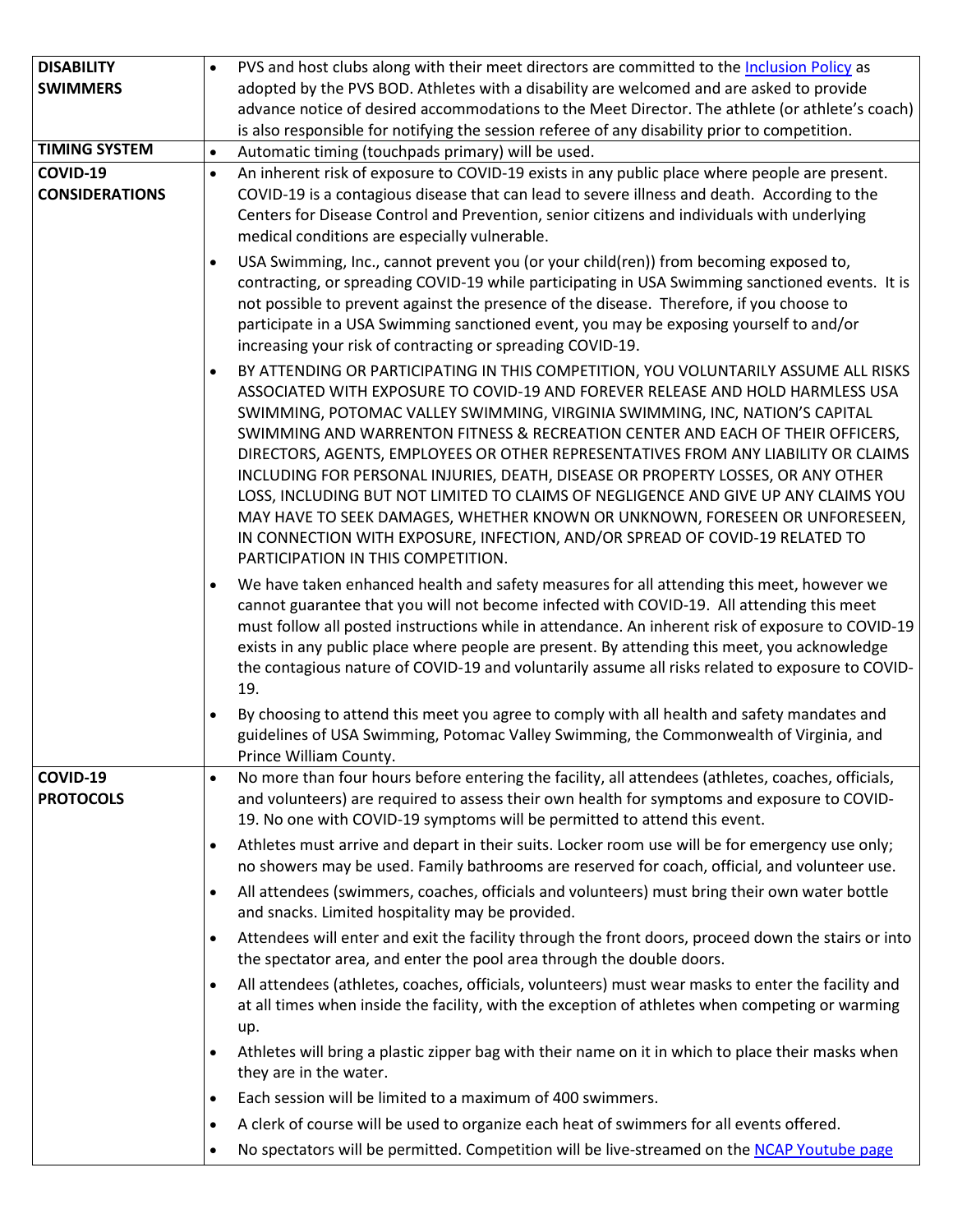| <b>DISABILITY</b>     | PVS and host clubs along with their meet directors are committed to the Inclusion Policy as<br>$\bullet$                                                    |
|-----------------------|-------------------------------------------------------------------------------------------------------------------------------------------------------------|
| <b>SWIMMERS</b>       | adopted by the PVS BOD. Athletes with a disability are welcomed and are asked to provide                                                                    |
|                       | advance notice of desired accommodations to the Meet Director. The athlete (or athlete's coach)                                                             |
|                       | is also responsible for notifying the session referee of any disability prior to competition.                                                               |
| <b>TIMING SYSTEM</b>  | Automatic timing (touchpads primary) will be used.<br>$\bullet$                                                                                             |
| COVID-19              | An inherent risk of exposure to COVID-19 exists in any public place where people are present.<br>$\bullet$                                                  |
| <b>CONSIDERATIONS</b> | COVID-19 is a contagious disease that can lead to severe illness and death. According to the                                                                |
|                       | Centers for Disease Control and Prevention, senior citizens and individuals with underlying                                                                 |
|                       | medical conditions are especially vulnerable.                                                                                                               |
|                       | USA Swimming, Inc., cannot prevent you (or your child(ren)) from becoming exposed to,<br>$\bullet$                                                          |
|                       | contracting, or spreading COVID-19 while participating in USA Swimming sanctioned events. It is                                                             |
|                       | not possible to prevent against the presence of the disease. Therefore, if you choose to                                                                    |
|                       | participate in a USA Swimming sanctioned event, you may be exposing yourself to and/or                                                                      |
|                       | increasing your risk of contracting or spreading COVID-19.                                                                                                  |
|                       | BY ATTENDING OR PARTICIPATING IN THIS COMPETITION, YOU VOLUNTARILY ASSUME ALL RISKS<br>$\bullet$                                                            |
|                       | ASSOCIATED WITH EXPOSURE TO COVID-19 AND FOREVER RELEASE AND HOLD HARMLESS USA                                                                              |
|                       | SWIMMING, POTOMAC VALLEY SWIMMING, VIRGINIA SWIMMING, INC, NATION'S CAPITAL                                                                                 |
|                       | SWIMMING AND WARRENTON FITNESS & RECREATION CENTER AND EACH OF THEIR OFFICERS,                                                                              |
|                       | DIRECTORS, AGENTS, EMPLOYEES OR OTHER REPRESENTATIVES FROM ANY LIABILITY OR CLAIMS                                                                          |
|                       | INCLUDING FOR PERSONAL INJURIES, DEATH, DISEASE OR PROPERTY LOSSES, OR ANY OTHER                                                                            |
|                       | LOSS, INCLUDING BUT NOT LIMITED TO CLAIMS OF NEGLIGENCE AND GIVE UP ANY CLAIMS YOU                                                                          |
|                       | MAY HAVE TO SEEK DAMAGES, WHETHER KNOWN OR UNKNOWN, FORESEEN OR UNFORESEEN,<br>IN CONNECTION WITH EXPOSURE, INFECTION, AND/OR SPREAD OF COVID-19 RELATED TO |
|                       | PARTICIPATION IN THIS COMPETITION.                                                                                                                          |
|                       | We have taken enhanced health and safety measures for all attending this meet, however we<br>$\bullet$                                                      |
|                       | cannot guarantee that you will not become infected with COVID-19. All attending this meet                                                                   |
|                       | must follow all posted instructions while in attendance. An inherent risk of exposure to COVID-19                                                           |
|                       | exists in any public place where people are present. By attending this meet, you acknowledge                                                                |
|                       | the contagious nature of COVID-19 and voluntarily assume all risks related to exposure to COVID-                                                            |
|                       | 19.                                                                                                                                                         |
|                       | By choosing to attend this meet you agree to comply with all health and safety mandates and<br>$\bullet$                                                    |
|                       | guidelines of USA Swimming, Potomac Valley Swimming, the Commonwealth of Virginia, and                                                                      |
|                       | Prince William County.                                                                                                                                      |
| COVID-19              | No more than four hours before entering the facility, all attendees (athletes, coaches, officials,<br>$\bullet$                                             |
| <b>PROTOCOLS</b>      | and volunteers) are required to assess their own health for symptoms and exposure to COVID-                                                                 |
|                       | 19. No one with COVID-19 symptoms will be permitted to attend this event.                                                                                   |
|                       | Athletes must arrive and depart in their suits. Locker room use will be for emergency use only;<br>$\bullet$                                                |
|                       | no showers may be used. Family bathrooms are reserved for coach, official, and volunteer use.                                                               |
|                       | All attendees (swimmers, coaches, officials and volunteers) must bring their own water bottle<br>$\bullet$                                                  |
|                       | and snacks. Limited hospitality may be provided.                                                                                                            |
|                       | Attendees will enter and exit the facility through the front doors, proceed down the stairs or into<br>$\bullet$                                            |
|                       | the spectator area, and enter the pool area through the double doors.                                                                                       |
|                       | All attendees (athletes, coaches, officials, volunteers) must wear masks to enter the facility and<br>$\bullet$                                             |
|                       | at all times when inside the facility, with the exception of athletes when competing or warming                                                             |
|                       | up.                                                                                                                                                         |
|                       | Athletes will bring a plastic zipper bag with their name on it in which to place their masks when<br>$\bullet$                                              |
|                       | they are in the water.                                                                                                                                      |
|                       | Each session will be limited to a maximum of 400 swimmers.<br>$\bullet$                                                                                     |
|                       | A clerk of course will be used to organize each heat of swimmers for all events offered.<br>$\bullet$                                                       |
|                       |                                                                                                                                                             |
|                       | No spectators will be permitted. Competition will be live-streamed on the NCAP Youtube page<br>$\bullet$                                                    |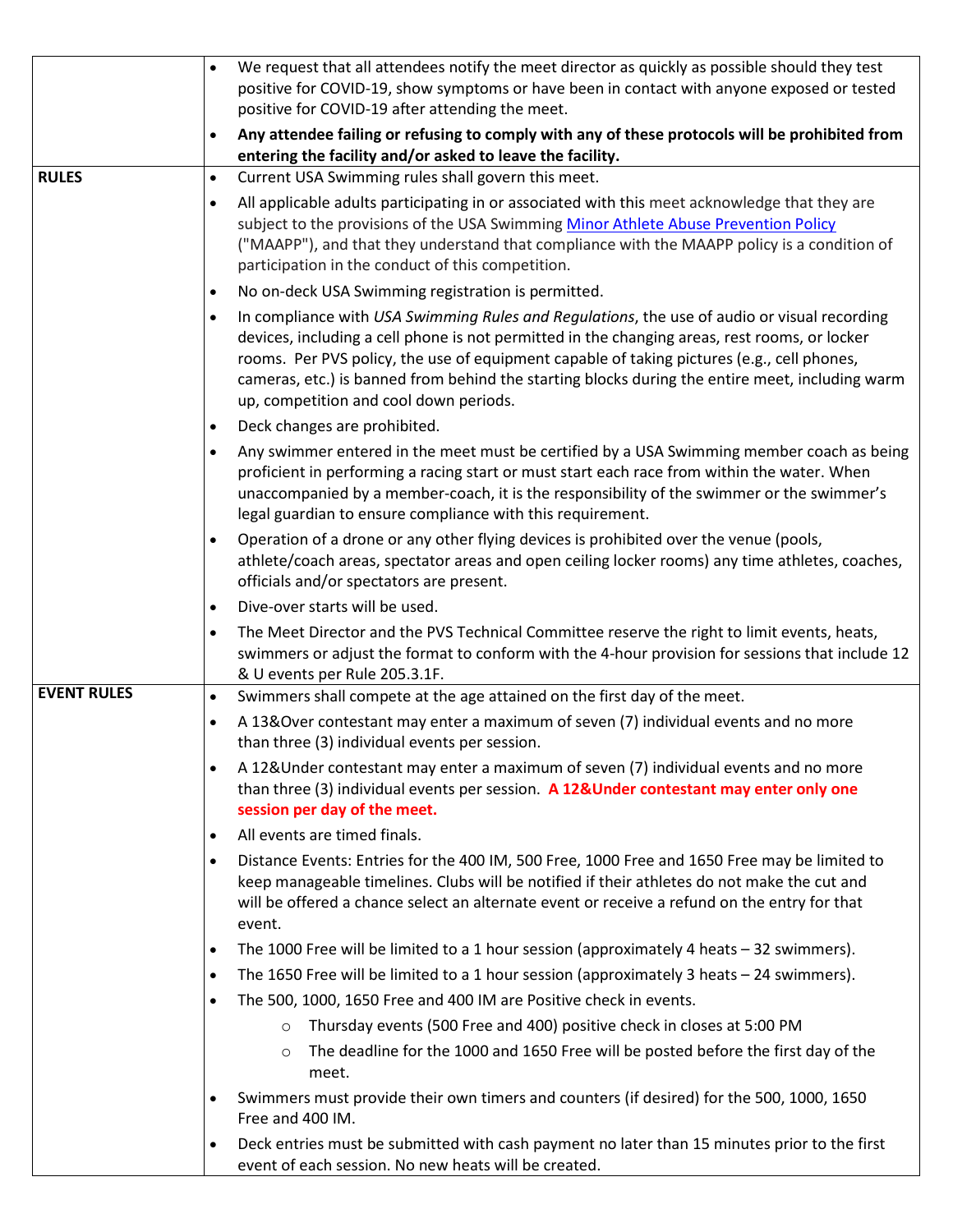|                    | We request that all attendees notify the meet director as quickly as possible should they test<br>$\bullet$<br>positive for COVID-19, show symptoms or have been in contact with anyone exposed or tested<br>positive for COVID-19 after attending the meet.                                                                                                                                                                                         |  |
|--------------------|------------------------------------------------------------------------------------------------------------------------------------------------------------------------------------------------------------------------------------------------------------------------------------------------------------------------------------------------------------------------------------------------------------------------------------------------------|--|
|                    | Any attendee failing or refusing to comply with any of these protocols will be prohibited from<br>$\bullet$<br>entering the facility and/or asked to leave the facility.                                                                                                                                                                                                                                                                             |  |
| <b>RULES</b>       | Current USA Swimming rules shall govern this meet.<br>$\bullet$                                                                                                                                                                                                                                                                                                                                                                                      |  |
|                    | All applicable adults participating in or associated with this meet acknowledge that they are<br>$\bullet$<br>subject to the provisions of the USA Swimming Minor Athlete Abuse Prevention Policy<br>("MAAPP"), and that they understand that compliance with the MAAPP policy is a condition of<br>participation in the conduct of this competition.                                                                                                |  |
|                    | No on-deck USA Swimming registration is permitted.<br>$\bullet$                                                                                                                                                                                                                                                                                                                                                                                      |  |
|                    | In compliance with USA Swimming Rules and Regulations, the use of audio or visual recording<br>$\bullet$<br>devices, including a cell phone is not permitted in the changing areas, rest rooms, or locker<br>rooms. Per PVS policy, the use of equipment capable of taking pictures (e.g., cell phones,<br>cameras, etc.) is banned from behind the starting blocks during the entire meet, including warm<br>up, competition and cool down periods. |  |
|                    | Deck changes are prohibited.<br>$\bullet$                                                                                                                                                                                                                                                                                                                                                                                                            |  |
|                    | Any swimmer entered in the meet must be certified by a USA Swimming member coach as being<br>$\bullet$<br>proficient in performing a racing start or must start each race from within the water. When<br>unaccompanied by a member-coach, it is the responsibility of the swimmer or the swimmer's<br>legal guardian to ensure compliance with this requirement.                                                                                     |  |
|                    | Operation of a drone or any other flying devices is prohibited over the venue (pools,<br>$\bullet$<br>athlete/coach areas, spectator areas and open ceiling locker rooms) any time athletes, coaches,<br>officials and/or spectators are present.                                                                                                                                                                                                    |  |
|                    | Dive-over starts will be used.<br>$\bullet$                                                                                                                                                                                                                                                                                                                                                                                                          |  |
|                    | The Meet Director and the PVS Technical Committee reserve the right to limit events, heats,<br>$\bullet$<br>swimmers or adjust the format to conform with the 4-hour provision for sessions that include 12<br>& U events per Rule 205.3.1F.                                                                                                                                                                                                         |  |
| <b>EVENT RULES</b> | Swimmers shall compete at the age attained on the first day of the meet.<br>$\bullet$                                                                                                                                                                                                                                                                                                                                                                |  |
|                    | A 13&Over contestant may enter a maximum of seven (7) individual events and no more<br>$\bullet$<br>than three (3) individual events per session.                                                                                                                                                                                                                                                                                                    |  |
|                    | A 12& Under contestant may enter a maximum of seven (7) individual events and no more<br>$\bullet$<br>than three (3) individual events per session. A 12& Under contestant may enter only one<br>session per day of the meet.                                                                                                                                                                                                                        |  |
|                    | All events are timed finals.<br>$\bullet$                                                                                                                                                                                                                                                                                                                                                                                                            |  |
|                    | Distance Events: Entries for the 400 IM, 500 Free, 1000 Free and 1650 Free may be limited to<br>$\bullet$<br>keep manageable timelines. Clubs will be notified if their athletes do not make the cut and<br>will be offered a chance select an alternate event or receive a refund on the entry for that<br>event.                                                                                                                                   |  |
|                    | The 1000 Free will be limited to a 1 hour session (approximately 4 heats $-32$ swimmers).<br>$\bullet$                                                                                                                                                                                                                                                                                                                                               |  |
|                    | The 1650 Free will be limited to a 1 hour session (approximately 3 heats $-$ 24 swimmers).<br>$\bullet$                                                                                                                                                                                                                                                                                                                                              |  |
|                    | The 500, 1000, 1650 Free and 400 IM are Positive check in events.<br>$\bullet$                                                                                                                                                                                                                                                                                                                                                                       |  |
|                    | Thursday events (500 Free and 400) positive check in closes at 5:00 PM<br>$\circ$                                                                                                                                                                                                                                                                                                                                                                    |  |
|                    | The deadline for the 1000 and 1650 Free will be posted before the first day of the<br>$\circ$<br>meet.                                                                                                                                                                                                                                                                                                                                               |  |
|                    | Swimmers must provide their own timers and counters (if desired) for the 500, 1000, 1650<br>$\bullet$<br>Free and 400 IM.                                                                                                                                                                                                                                                                                                                            |  |
|                    | Deck entries must be submitted with cash payment no later than 15 minutes prior to the first<br>$\bullet$<br>event of each session. No new heats will be created.                                                                                                                                                                                                                                                                                    |  |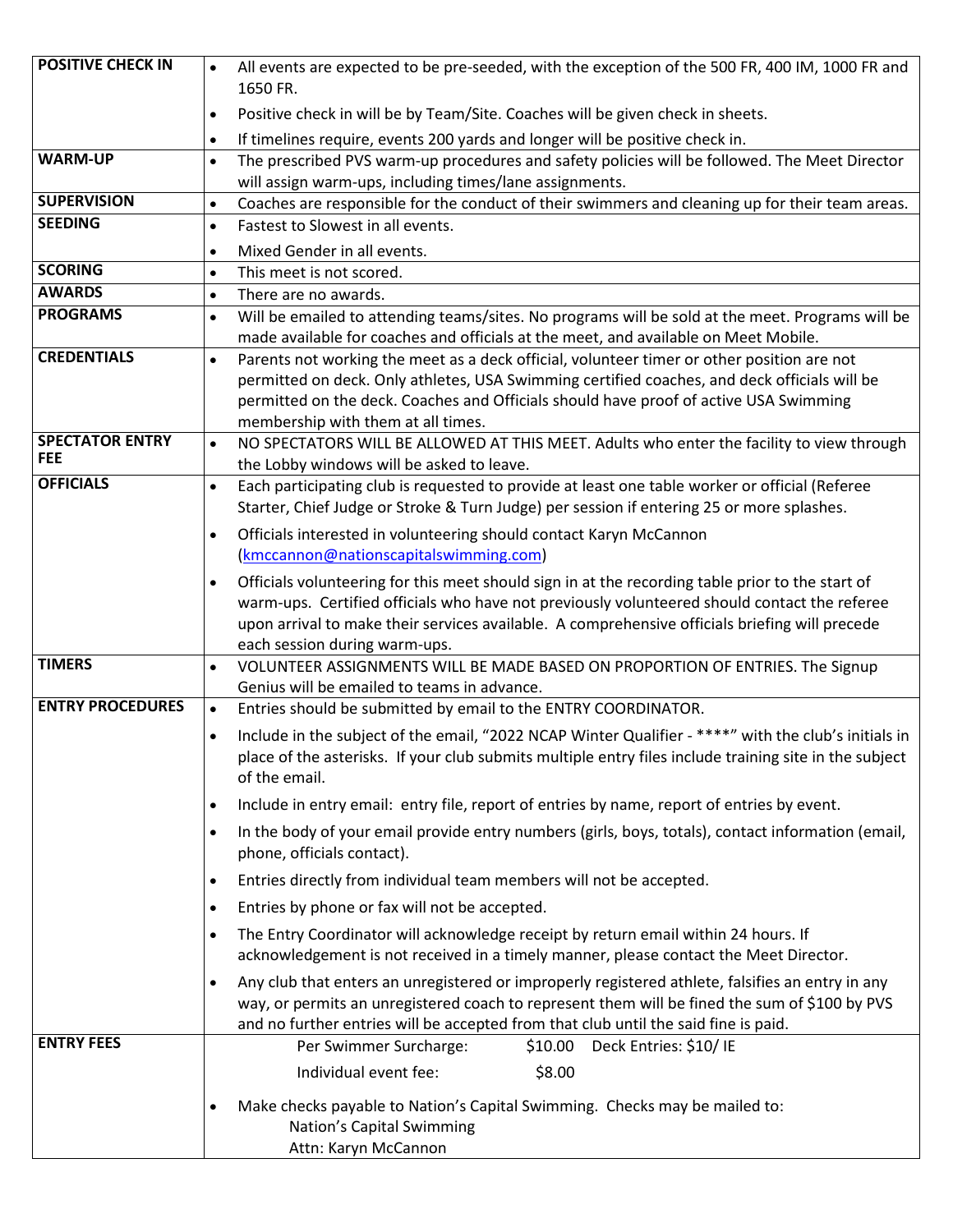| <b>POSITIVE CHECK IN</b>             | All events are expected to be pre-seeded, with the exception of the 500 FR, 400 IM, 1000 FR and<br>$\bullet$                                                                                                  |
|--------------------------------------|---------------------------------------------------------------------------------------------------------------------------------------------------------------------------------------------------------------|
|                                      | 1650 FR.                                                                                                                                                                                                      |
|                                      | Positive check in will be by Team/Site. Coaches will be given check in sheets.<br>$\bullet$                                                                                                                   |
|                                      | If timelines require, events 200 yards and longer will be positive check in.<br>$\bullet$                                                                                                                     |
| <b>WARM-UP</b>                       | The prescribed PVS warm-up procedures and safety policies will be followed. The Meet Director<br>$\bullet$                                                                                                    |
| <b>SUPERVISION</b>                   | will assign warm-ups, including times/lane assignments.                                                                                                                                                       |
| <b>SEEDING</b>                       | Coaches are responsible for the conduct of their swimmers and cleaning up for their team areas.<br>$\bullet$<br>Fastest to Slowest in all events.<br>$\bullet$                                                |
|                                      |                                                                                                                                                                                                               |
| <b>SCORING</b>                       | Mixed Gender in all events.<br>$\bullet$<br>This meet is not scored.<br>$\bullet$                                                                                                                             |
| <b>AWARDS</b>                        | There are no awards.<br>$\bullet$                                                                                                                                                                             |
| <b>PROGRAMS</b>                      | Will be emailed to attending teams/sites. No programs will be sold at the meet. Programs will be<br>$\bullet$                                                                                                 |
|                                      | made available for coaches and officials at the meet, and available on Meet Mobile.                                                                                                                           |
| <b>CREDENTIALS</b>                   | Parents not working the meet as a deck official, volunteer timer or other position are not<br>$\bullet$                                                                                                       |
|                                      | permitted on deck. Only athletes, USA Swimming certified coaches, and deck officials will be                                                                                                                  |
|                                      | permitted on the deck. Coaches and Officials should have proof of active USA Swimming                                                                                                                         |
|                                      | membership with them at all times.                                                                                                                                                                            |
| <b>SPECTATOR ENTRY</b><br><b>FEE</b> | NO SPECTATORS WILL BE ALLOWED AT THIS MEET. Adults who enter the facility to view through<br>$\bullet$                                                                                                        |
| <b>OFFICIALS</b>                     | the Lobby windows will be asked to leave.                                                                                                                                                                     |
|                                      | Each participating club is requested to provide at least one table worker or official (Referee<br>$\bullet$<br>Starter, Chief Judge or Stroke & Turn Judge) per session if entering 25 or more splashes.      |
|                                      |                                                                                                                                                                                                               |
|                                      | Officials interested in volunteering should contact Karyn McCannon<br>$\bullet$<br>(kmccannon@nationscapitalswimming.com)                                                                                     |
|                                      |                                                                                                                                                                                                               |
|                                      | Officials volunteering for this meet should sign in at the recording table prior to the start of<br>$\bullet$<br>warm-ups. Certified officials who have not previously volunteered should contact the referee |
|                                      | upon arrival to make their services available. A comprehensive officials briefing will precede                                                                                                                |
|                                      | each session during warm-ups.                                                                                                                                                                                 |
| <b>TIMERS</b>                        | VOLUNTEER ASSIGNMENTS WILL BE MADE BASED ON PROPORTION OF ENTRIES. The Signup<br>$\bullet$                                                                                                                    |
|                                      | Genius will be emailed to teams in advance.                                                                                                                                                                   |
| <b>ENTRY PROCEDURES</b>              | Entries should be submitted by email to the ENTRY COORDINATOR.<br>$\bullet$                                                                                                                                   |
|                                      | Include in the subject of the email, "2022 NCAP Winter Qualifier - ****" with the club's initials in<br>$\bullet$                                                                                             |
|                                      | place of the asterisks. If your club submits multiple entry files include training site in the subject                                                                                                        |
|                                      | of the email.                                                                                                                                                                                                 |
|                                      | Include in entry email: entry file, report of entries by name, report of entries by event.<br>$\bullet$                                                                                                       |
|                                      | In the body of your email provide entry numbers (girls, boys, totals), contact information (email,<br>$\bullet$                                                                                               |
|                                      | phone, officials contact).                                                                                                                                                                                    |
|                                      | Entries directly from individual team members will not be accepted.<br>$\bullet$                                                                                                                              |
|                                      | Entries by phone or fax will not be accepted.<br>$\bullet$                                                                                                                                                    |
|                                      | The Entry Coordinator will acknowledge receipt by return email within 24 hours. If<br>$\bullet$                                                                                                               |
|                                      | acknowledgement is not received in a timely manner, please contact the Meet Director.                                                                                                                         |
|                                      | Any club that enters an unregistered or improperly registered athlete, falsifies an entry in any<br>$\bullet$                                                                                                 |
|                                      | way, or permits an unregistered coach to represent them will be fined the sum of \$100 by PVS                                                                                                                 |
| <b>ENTRY FEES</b>                    | and no further entries will be accepted from that club until the said fine is paid.                                                                                                                           |
|                                      | Per Swimmer Surcharge:<br>\$10.00<br>Deck Entries: \$10/ IE                                                                                                                                                   |
|                                      | Individual event fee:<br>\$8.00                                                                                                                                                                               |
|                                      | Make checks payable to Nation's Capital Swimming. Checks may be mailed to:<br>$\bullet$                                                                                                                       |
|                                      | Nation's Capital Swimming                                                                                                                                                                                     |
|                                      | Attn: Karyn McCannon                                                                                                                                                                                          |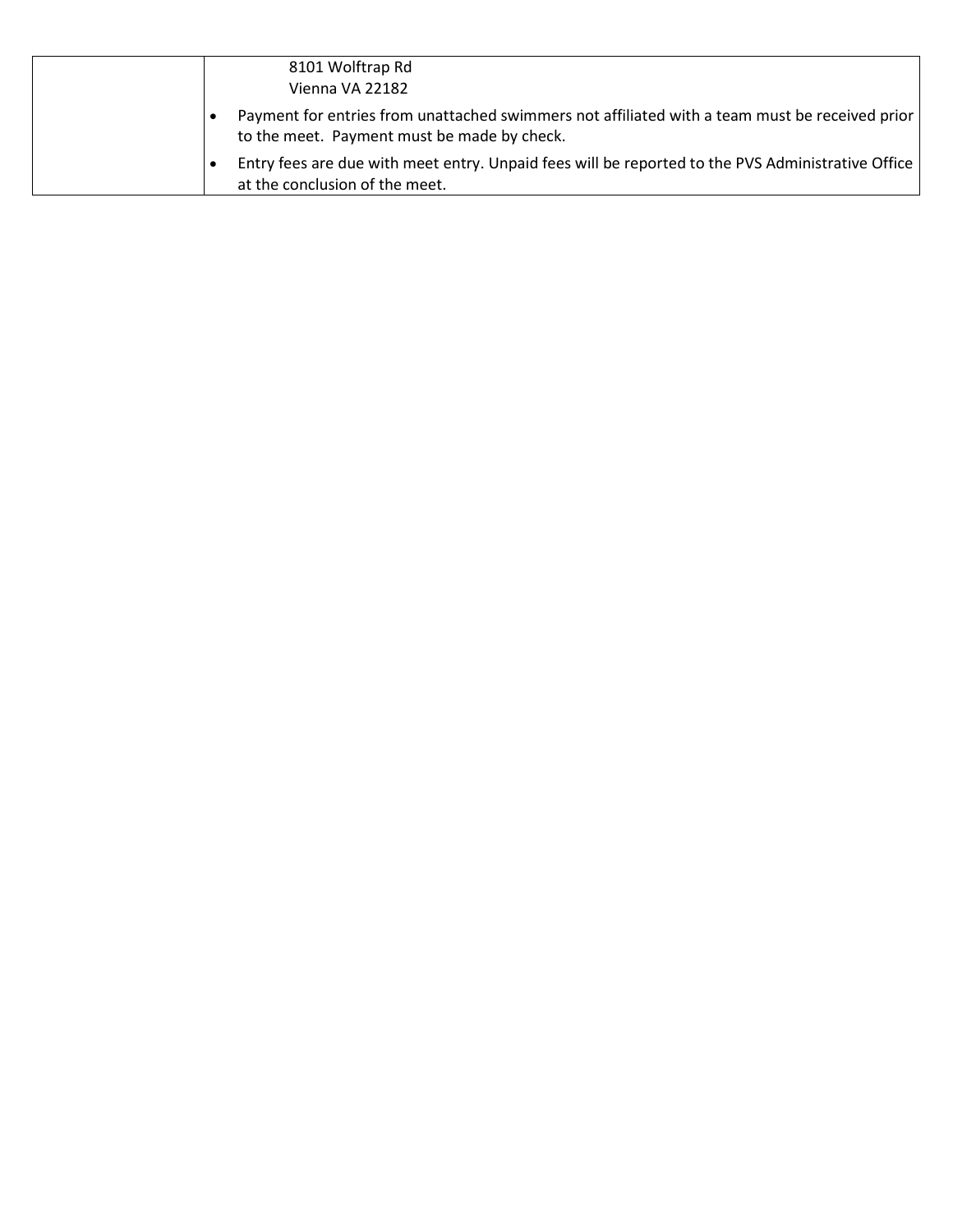| 8101 Wolftrap Rd<br>Vienna VA 22182                                                                                                           |
|-----------------------------------------------------------------------------------------------------------------------------------------------|
| Payment for entries from unattached swimmers not affiliated with a team must be received prior<br>to the meet. Payment must be made by check. |
| Entry fees are due with meet entry. Unpaid fees will be reported to the PVS Administrative Office<br>at the conclusion of the meet.           |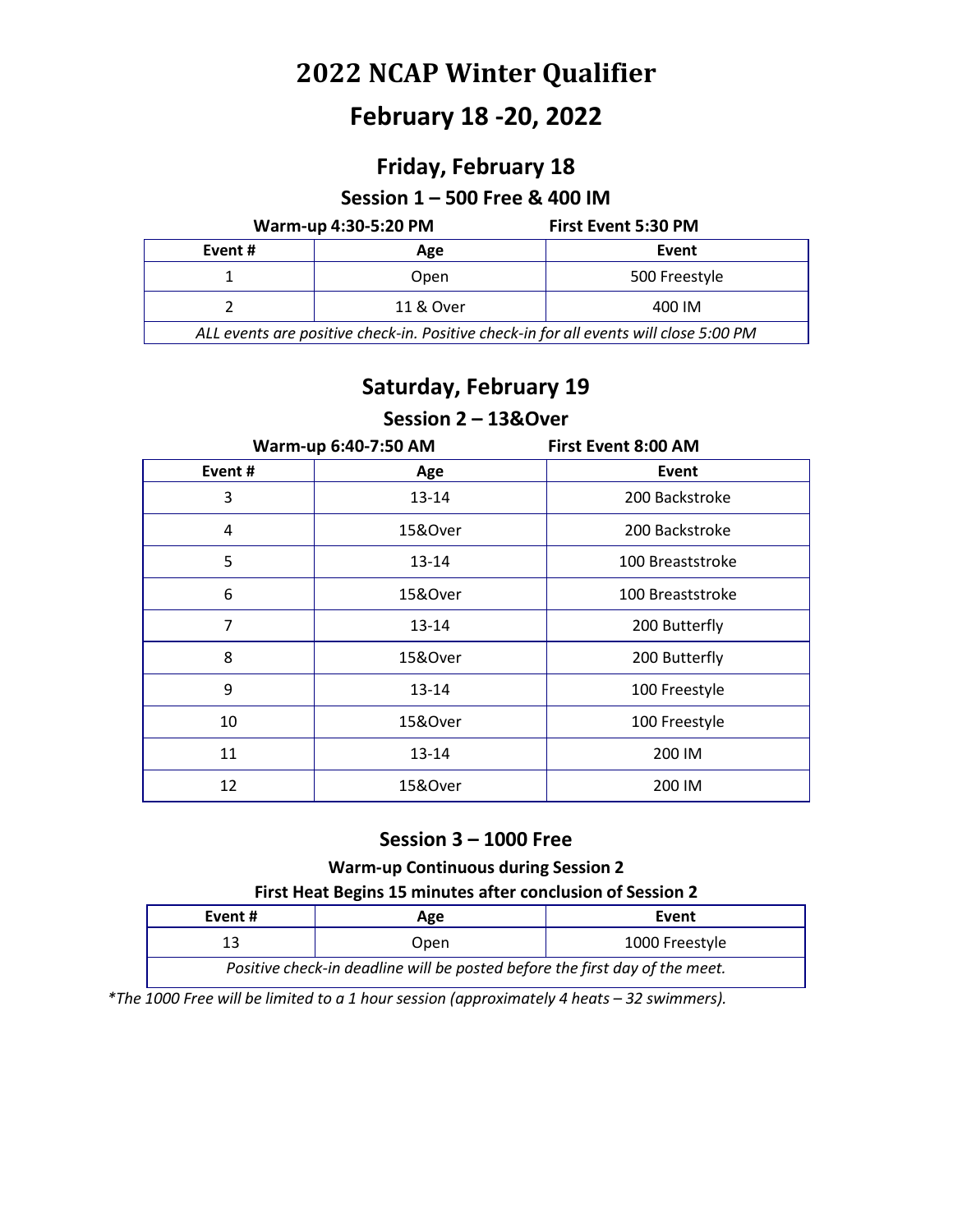## **February 18 -20, 2022**

## **Friday, February 18**

#### **Session 1 – 500 Free & 400 IM**

#### **Warm-up 4:30-5:20 PM First Event 5:30 PM**

| Event #                                                                               | Age       | Event         |
|---------------------------------------------------------------------------------------|-----------|---------------|
|                                                                                       | Open      | 500 Freestyle |
|                                                                                       | 11 & Over | 400 IM        |
| ALL events are positive check-in. Positive check-in for all events will close 5:00 PM |           |               |

### **Saturday, February 19**

#### **Session 2 – 13&Over**

| Warm-up 6:40-7:50 AM |           | <b>First Event 8:00 AM</b> |
|----------------------|-----------|----------------------------|
| Event#               | Age       | Event                      |
| 3                    | 13-14     | 200 Backstroke             |
| 4                    | 15&Over   | 200 Backstroke             |
| 5                    | $13 - 14$ | 100 Breaststroke           |
| 6                    | 15&Over   | 100 Breaststroke           |
| 7                    | $13 - 14$ | 200 Butterfly              |
| 8                    | 15&Over   | 200 Butterfly              |
| 9                    | $13 - 14$ | 100 Freestyle              |
| 10                   | 15&Over   | 100 Freestyle              |
| 11                   | 13-14     | 200 IM                     |
| 12                   | 15&Over   | 200 IM                     |

#### **Session 3 – 1000 Free**

#### **Warm-up Continuous during Session 2**

#### **First Heat Begins 15 minutes after conclusion of Session 2**

| Event #                                                                     | Age  | Event          |  |
|-----------------------------------------------------------------------------|------|----------------|--|
|                                                                             | Open | 1000 Freestyle |  |
| Positive check-in deadline will be posted before the first day of the meet. |      |                |  |

*\*The 1000 Free will be limited to a 1 hour session (approximately 4 heats – 32 swimmers).*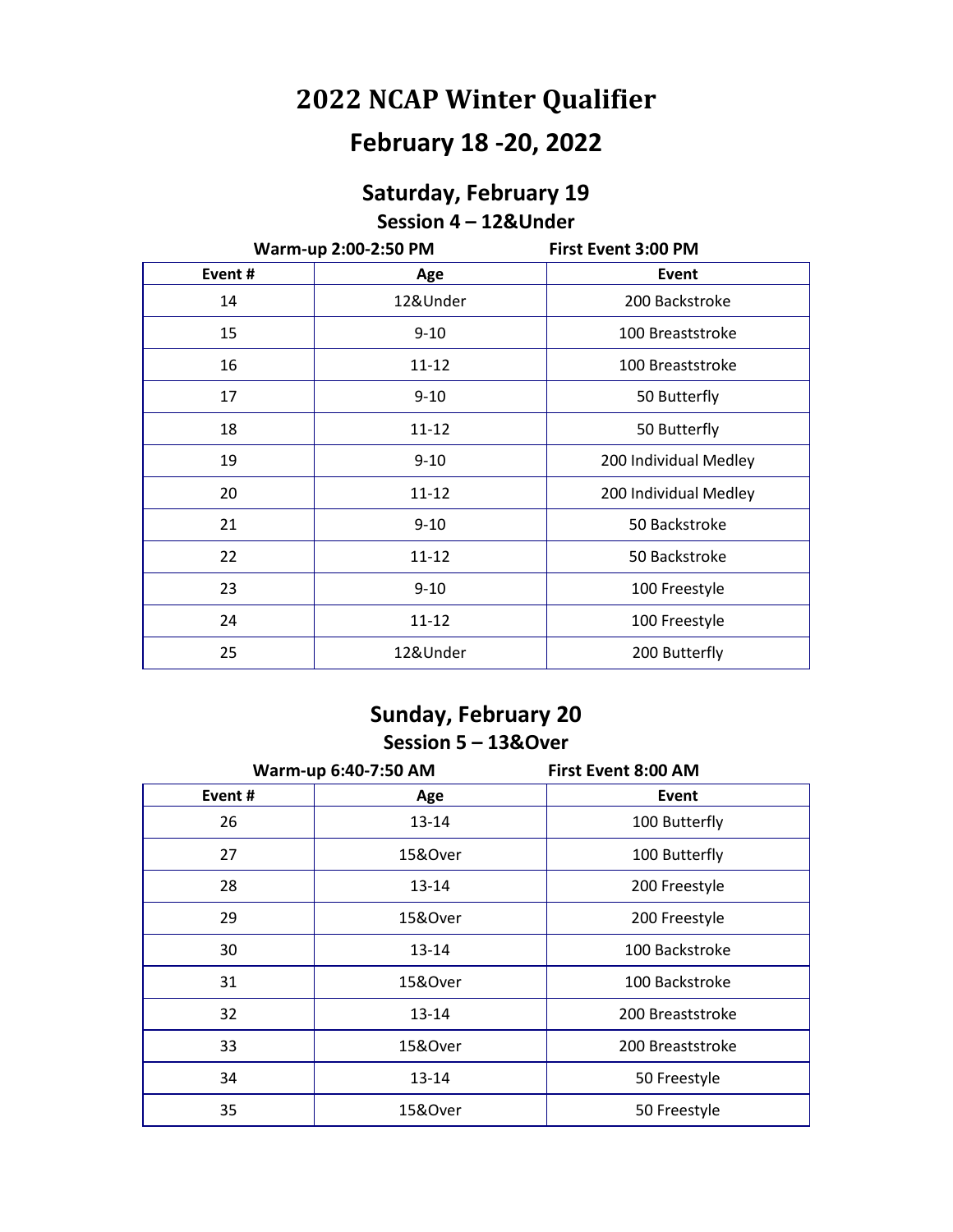# **February 18 -20, 2022**

### **Saturday, February 19 Session 4 – 12&Under**

| Warm-up 2:00-2:50 PM |           | First Event 3:00 PM   |
|----------------------|-----------|-----------------------|
| Event#               | Age       | <b>Event</b>          |
| 14                   | 12&Under  | 200 Backstroke        |
| 15                   | $9 - 10$  | 100 Breaststroke      |
| 16                   | $11 - 12$ | 100 Breaststroke      |
| 17                   | $9 - 10$  | 50 Butterfly          |
| 18                   | $11 - 12$ | 50 Butterfly          |
| 19                   | $9 - 10$  | 200 Individual Medley |
| 20                   | $11 - 12$ | 200 Individual Medley |
| 21                   | $9 - 10$  | 50 Backstroke         |
| 22                   | $11 - 12$ | 50 Backstroke         |
| 23                   | $9 - 10$  | 100 Freestyle         |
| 24                   | $11 - 12$ | 100 Freestyle         |
| 25                   | 12&Under  | 200 Butterfly         |

### **Sunday, February 20 Session 5 – 13&Over**

| Warm-up 6:40-7:50 AM |           | <b>First Event 8:00 AM</b> |
|----------------------|-----------|----------------------------|
| Event#               | Age       | Event                      |
| 26                   | $13 - 14$ | 100 Butterfly              |
| 27                   | 15&Over   | 100 Butterfly              |
| 28                   | 13-14     | 200 Freestyle              |
| 29                   | 15&Over   | 200 Freestyle              |
| 30                   | 13-14     | 100 Backstroke             |
| 31                   | 15&Over   | 100 Backstroke             |
| 32                   | 13-14     | 200 Breaststroke           |
| 33                   | 15&Over   | 200 Breaststroke           |
| 34                   | 13-14     | 50 Freestyle               |
| 35                   | 15&Over   | 50 Freestyle               |